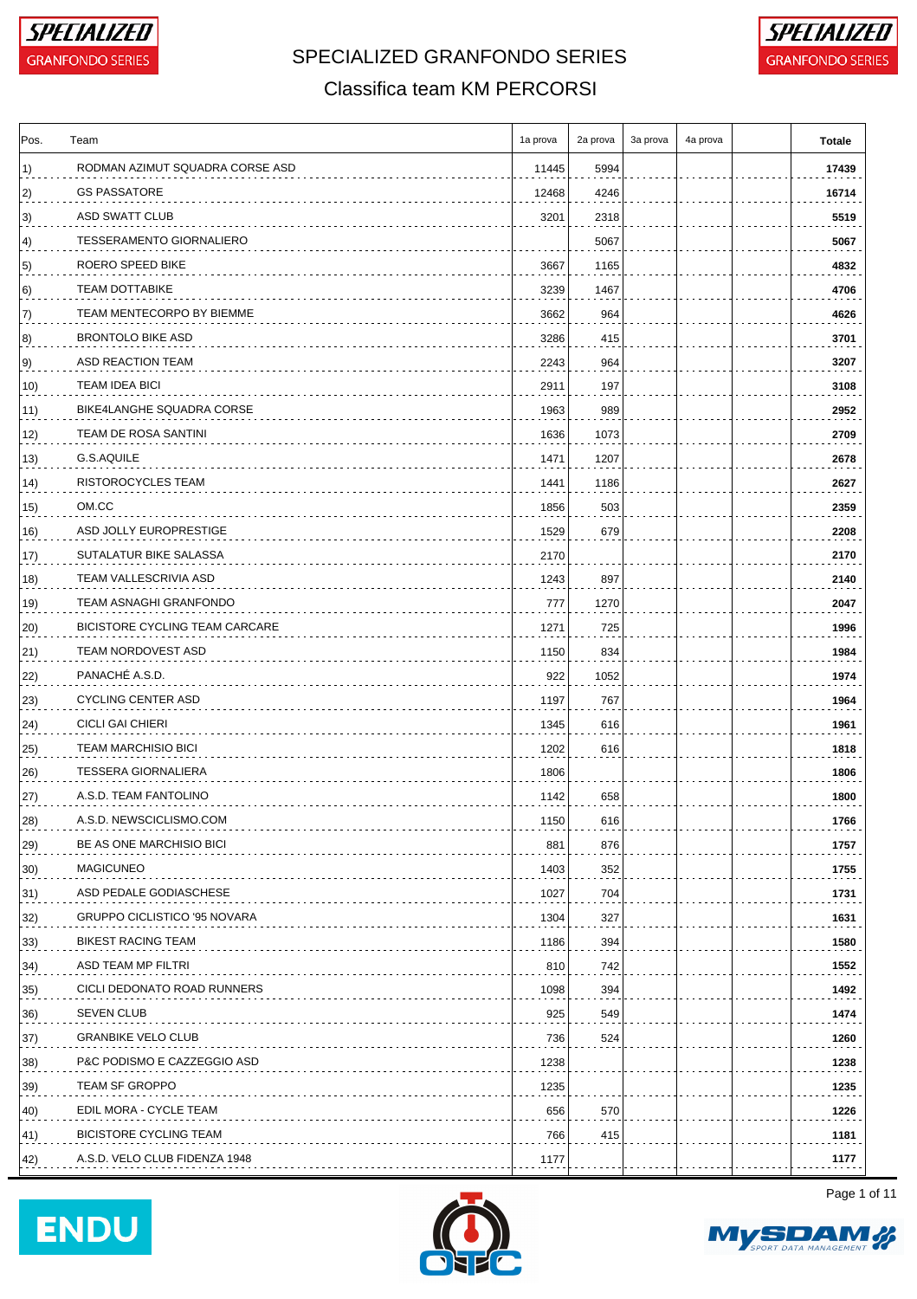



#### Classifica team KM PERCORSI

| RODMAN AZIMUT SQUADRA CORSE ASD<br>11445<br>5994<br><b>GS PASSATORE</b><br>12468<br>4246<br>ASD SWATT CLUB<br>3201<br>2318<br><b>TESSERAMENTO GIORNALIERO</b><br>5067<br>ROERO SPEED BIKE<br>1165<br>3667<br><b>TEAM DOTTABIKE</b><br>3239<br>1467<br>TEAM MENTECORPO BY BIEMME<br>3662<br>964<br><b>BRONTOLO BIKE ASD</b><br>3286<br>415<br>ASD REACTION TEAM<br>2243<br>964<br><b>TEAM IDEA BICI</b><br>2911<br>197<br>BIKE4LANGHE SQUADRA CORSE<br>989<br>1963<br>TEAM DE ROSA SANTINI<br>1636<br>1073<br>G.S.AQUILE<br>1471<br>1207<br>RISTOROCYCLES TEAM<br>1186<br>1441<br>OM.CC<br>1856<br>503<br>ASD JOLLY EUROPRESTIGE<br>1529<br>679<br>SUTALATUR BIKE SALASSA<br>2170<br>TEAM VALLESCRIVIA ASD<br>1243<br>897<br>TEAM ASNAGHI GRANFONDO<br>777<br>1270<br>BICISTORE CYCLING TEAM CARCARE<br>1271<br>725<br><b>TEAM NORDOVEST ASD</b><br>1150<br>834<br>PANACHÉ A.S.D.<br>922<br>1052<br>22)<br><b>CYCLING CENTER ASD</b><br>23)<br>1197<br>767<br><b>CICLI GAI CHIERI</b><br>1345<br>616<br><b>TEAM MARCHISIO BICI</b><br>1202<br>616<br>25)<br><b>TESSERA GIORNALIERA</b><br>1806<br>26)<br>A.S.D. TEAM FANTOLINO<br>1142<br>658<br>28)<br>A.S.D. NEWSCICLISMO.COM<br>1150<br>616<br>BE AS ONE MARCHISIO BICI<br>881<br>876<br><b>MAGICUNEO</b><br>1403<br>352<br>ASD PEDALE GODIASCHESE<br>1027<br>704<br>GRUPPO CICLISTICO '95 NOVARA<br>1304<br>327<br>BIKEST RACING TEAM<br>1186<br>394<br>ASD TEAM MP FILTRI<br>810<br>742<br>CICLI DEDONATO ROAD RUNNERS<br>1098<br>394<br><b>SEVEN CLUB</b><br>925<br>549<br><b>GRANBIKE VELO CLUB</b><br>524<br>736<br>P&C PODISMO E CAZZEGGIO ASD<br>1238<br>TEAM SF GROPPO<br>1235<br>EDIL MORA - CYCLE TEAM<br>656<br>570<br><b>BICISTORE CYCLING TEAM</b><br>766<br>415<br>A.S.D. VELO CLUB FIDENZA 1948<br>1177 | Pos. | Team | 1a prova | 2a prova | 3a prova | 4a prova | Totale |
|--------------------------------------------------------------------------------------------------------------------------------------------------------------------------------------------------------------------------------------------------------------------------------------------------------------------------------------------------------------------------------------------------------------------------------------------------------------------------------------------------------------------------------------------------------------------------------------------------------------------------------------------------------------------------------------------------------------------------------------------------------------------------------------------------------------------------------------------------------------------------------------------------------------------------------------------------------------------------------------------------------------------------------------------------------------------------------------------------------------------------------------------------------------------------------------------------------------------------------------------------------------------------------------------------------------------------------------------------------------------------------------------------------------------------------------------------------------------------------------------------------------------------------------------------------------------------------------------------------------------------------------------------------------------------------------------------------------------------------------------------------------------------|------|------|----------|----------|----------|----------|--------|
|                                                                                                                                                                                                                                                                                                                                                                                                                                                                                                                                                                                                                                                                                                                                                                                                                                                                                                                                                                                                                                                                                                                                                                                                                                                                                                                                                                                                                                                                                                                                                                                                                                                                                                                                                                          | 1)   |      |          |          |          |          | 17439  |
|                                                                                                                                                                                                                                                                                                                                                                                                                                                                                                                                                                                                                                                                                                                                                                                                                                                                                                                                                                                                                                                                                                                                                                                                                                                                                                                                                                                                                                                                                                                                                                                                                                                                                                                                                                          | 2)   |      |          |          |          |          | 16714  |
|                                                                                                                                                                                                                                                                                                                                                                                                                                                                                                                                                                                                                                                                                                                                                                                                                                                                                                                                                                                                                                                                                                                                                                                                                                                                                                                                                                                                                                                                                                                                                                                                                                                                                                                                                                          | 3)   |      |          |          |          |          | 5519   |
|                                                                                                                                                                                                                                                                                                                                                                                                                                                                                                                                                                                                                                                                                                                                                                                                                                                                                                                                                                                                                                                                                                                                                                                                                                                                                                                                                                                                                                                                                                                                                                                                                                                                                                                                                                          | 4)   |      |          |          |          |          | 5067   |
|                                                                                                                                                                                                                                                                                                                                                                                                                                                                                                                                                                                                                                                                                                                                                                                                                                                                                                                                                                                                                                                                                                                                                                                                                                                                                                                                                                                                                                                                                                                                                                                                                                                                                                                                                                          | 5)   |      |          |          |          |          | 4832   |
|                                                                                                                                                                                                                                                                                                                                                                                                                                                                                                                                                                                                                                                                                                                                                                                                                                                                                                                                                                                                                                                                                                                                                                                                                                                                                                                                                                                                                                                                                                                                                                                                                                                                                                                                                                          | 6)   |      |          |          |          |          | 4706   |
|                                                                                                                                                                                                                                                                                                                                                                                                                                                                                                                                                                                                                                                                                                                                                                                                                                                                                                                                                                                                                                                                                                                                                                                                                                                                                                                                                                                                                                                                                                                                                                                                                                                                                                                                                                          | 7)   |      |          |          |          |          | 4626   |
|                                                                                                                                                                                                                                                                                                                                                                                                                                                                                                                                                                                                                                                                                                                                                                                                                                                                                                                                                                                                                                                                                                                                                                                                                                                                                                                                                                                                                                                                                                                                                                                                                                                                                                                                                                          | 8)   |      |          |          |          |          | 3701   |
|                                                                                                                                                                                                                                                                                                                                                                                                                                                                                                                                                                                                                                                                                                                                                                                                                                                                                                                                                                                                                                                                                                                                                                                                                                                                                                                                                                                                                                                                                                                                                                                                                                                                                                                                                                          | 9)   |      |          |          |          |          | 3207   |
|                                                                                                                                                                                                                                                                                                                                                                                                                                                                                                                                                                                                                                                                                                                                                                                                                                                                                                                                                                                                                                                                                                                                                                                                                                                                                                                                                                                                                                                                                                                                                                                                                                                                                                                                                                          | 10)  |      |          |          |          |          | 3108   |
|                                                                                                                                                                                                                                                                                                                                                                                                                                                                                                                                                                                                                                                                                                                                                                                                                                                                                                                                                                                                                                                                                                                                                                                                                                                                                                                                                                                                                                                                                                                                                                                                                                                                                                                                                                          | 11)  |      |          |          |          |          | 2952   |
|                                                                                                                                                                                                                                                                                                                                                                                                                                                                                                                                                                                                                                                                                                                                                                                                                                                                                                                                                                                                                                                                                                                                                                                                                                                                                                                                                                                                                                                                                                                                                                                                                                                                                                                                                                          | 12)  |      |          |          |          |          | 2709   |
|                                                                                                                                                                                                                                                                                                                                                                                                                                                                                                                                                                                                                                                                                                                                                                                                                                                                                                                                                                                                                                                                                                                                                                                                                                                                                                                                                                                                                                                                                                                                                                                                                                                                                                                                                                          | 13)  |      |          |          |          |          | 2678   |
|                                                                                                                                                                                                                                                                                                                                                                                                                                                                                                                                                                                                                                                                                                                                                                                                                                                                                                                                                                                                                                                                                                                                                                                                                                                                                                                                                                                                                                                                                                                                                                                                                                                                                                                                                                          | 14)  |      |          |          |          |          | 2627   |
|                                                                                                                                                                                                                                                                                                                                                                                                                                                                                                                                                                                                                                                                                                                                                                                                                                                                                                                                                                                                                                                                                                                                                                                                                                                                                                                                                                                                                                                                                                                                                                                                                                                                                                                                                                          | 15)  |      |          |          |          |          | 2359   |
|                                                                                                                                                                                                                                                                                                                                                                                                                                                                                                                                                                                                                                                                                                                                                                                                                                                                                                                                                                                                                                                                                                                                                                                                                                                                                                                                                                                                                                                                                                                                                                                                                                                                                                                                                                          | 16)  |      |          |          |          |          | 2208   |
|                                                                                                                                                                                                                                                                                                                                                                                                                                                                                                                                                                                                                                                                                                                                                                                                                                                                                                                                                                                                                                                                                                                                                                                                                                                                                                                                                                                                                                                                                                                                                                                                                                                                                                                                                                          | 17)  |      |          |          |          |          | 2170   |
|                                                                                                                                                                                                                                                                                                                                                                                                                                                                                                                                                                                                                                                                                                                                                                                                                                                                                                                                                                                                                                                                                                                                                                                                                                                                                                                                                                                                                                                                                                                                                                                                                                                                                                                                                                          | 18)  |      |          |          |          |          | 2140   |
|                                                                                                                                                                                                                                                                                                                                                                                                                                                                                                                                                                                                                                                                                                                                                                                                                                                                                                                                                                                                                                                                                                                                                                                                                                                                                                                                                                                                                                                                                                                                                                                                                                                                                                                                                                          | 19)  |      |          |          |          |          | 2047   |
|                                                                                                                                                                                                                                                                                                                                                                                                                                                                                                                                                                                                                                                                                                                                                                                                                                                                                                                                                                                                                                                                                                                                                                                                                                                                                                                                                                                                                                                                                                                                                                                                                                                                                                                                                                          | 20)  |      |          |          |          |          | 1996   |
|                                                                                                                                                                                                                                                                                                                                                                                                                                                                                                                                                                                                                                                                                                                                                                                                                                                                                                                                                                                                                                                                                                                                                                                                                                                                                                                                                                                                                                                                                                                                                                                                                                                                                                                                                                          | 21)  |      |          |          |          |          | 1984   |
|                                                                                                                                                                                                                                                                                                                                                                                                                                                                                                                                                                                                                                                                                                                                                                                                                                                                                                                                                                                                                                                                                                                                                                                                                                                                                                                                                                                                                                                                                                                                                                                                                                                                                                                                                                          |      |      |          |          |          |          | 1974   |
|                                                                                                                                                                                                                                                                                                                                                                                                                                                                                                                                                                                                                                                                                                                                                                                                                                                                                                                                                                                                                                                                                                                                                                                                                                                                                                                                                                                                                                                                                                                                                                                                                                                                                                                                                                          |      |      |          |          |          |          | 1964   |
|                                                                                                                                                                                                                                                                                                                                                                                                                                                                                                                                                                                                                                                                                                                                                                                                                                                                                                                                                                                                                                                                                                                                                                                                                                                                                                                                                                                                                                                                                                                                                                                                                                                                                                                                                                          | 24)  |      |          |          |          |          | 1961   |
|                                                                                                                                                                                                                                                                                                                                                                                                                                                                                                                                                                                                                                                                                                                                                                                                                                                                                                                                                                                                                                                                                                                                                                                                                                                                                                                                                                                                                                                                                                                                                                                                                                                                                                                                                                          |      |      |          |          |          |          | 1818   |
|                                                                                                                                                                                                                                                                                                                                                                                                                                                                                                                                                                                                                                                                                                                                                                                                                                                                                                                                                                                                                                                                                                                                                                                                                                                                                                                                                                                                                                                                                                                                                                                                                                                                                                                                                                          |      |      |          |          |          |          | 1806   |
|                                                                                                                                                                                                                                                                                                                                                                                                                                                                                                                                                                                                                                                                                                                                                                                                                                                                                                                                                                                                                                                                                                                                                                                                                                                                                                                                                                                                                                                                                                                                                                                                                                                                                                                                                                          | 27)  |      |          |          |          |          | 1800   |
|                                                                                                                                                                                                                                                                                                                                                                                                                                                                                                                                                                                                                                                                                                                                                                                                                                                                                                                                                                                                                                                                                                                                                                                                                                                                                                                                                                                                                                                                                                                                                                                                                                                                                                                                                                          |      |      |          |          |          |          | 1766   |
|                                                                                                                                                                                                                                                                                                                                                                                                                                                                                                                                                                                                                                                                                                                                                                                                                                                                                                                                                                                                                                                                                                                                                                                                                                                                                                                                                                                                                                                                                                                                                                                                                                                                                                                                                                          | 29)  |      |          |          |          |          | 1757   |
|                                                                                                                                                                                                                                                                                                                                                                                                                                                                                                                                                                                                                                                                                                                                                                                                                                                                                                                                                                                                                                                                                                                                                                                                                                                                                                                                                                                                                                                                                                                                                                                                                                                                                                                                                                          | 30)  |      |          |          |          |          | 1755   |
|                                                                                                                                                                                                                                                                                                                                                                                                                                                                                                                                                                                                                                                                                                                                                                                                                                                                                                                                                                                                                                                                                                                                                                                                                                                                                                                                                                                                                                                                                                                                                                                                                                                                                                                                                                          | 31)  |      |          |          |          |          | 1731   |
|                                                                                                                                                                                                                                                                                                                                                                                                                                                                                                                                                                                                                                                                                                                                                                                                                                                                                                                                                                                                                                                                                                                                                                                                                                                                                                                                                                                                                                                                                                                                                                                                                                                                                                                                                                          | 32)  |      |          |          |          |          | 1631   |
|                                                                                                                                                                                                                                                                                                                                                                                                                                                                                                                                                                                                                                                                                                                                                                                                                                                                                                                                                                                                                                                                                                                                                                                                                                                                                                                                                                                                                                                                                                                                                                                                                                                                                                                                                                          | 33)  |      |          |          |          |          | 1580   |
|                                                                                                                                                                                                                                                                                                                                                                                                                                                                                                                                                                                                                                                                                                                                                                                                                                                                                                                                                                                                                                                                                                                                                                                                                                                                                                                                                                                                                                                                                                                                                                                                                                                                                                                                                                          | 34)  |      |          |          |          |          | 1552   |
|                                                                                                                                                                                                                                                                                                                                                                                                                                                                                                                                                                                                                                                                                                                                                                                                                                                                                                                                                                                                                                                                                                                                                                                                                                                                                                                                                                                                                                                                                                                                                                                                                                                                                                                                                                          | 35)  |      |          |          |          |          | 1492   |
|                                                                                                                                                                                                                                                                                                                                                                                                                                                                                                                                                                                                                                                                                                                                                                                                                                                                                                                                                                                                                                                                                                                                                                                                                                                                                                                                                                                                                                                                                                                                                                                                                                                                                                                                                                          | 36)  |      |          |          |          |          | 1474   |
|                                                                                                                                                                                                                                                                                                                                                                                                                                                                                                                                                                                                                                                                                                                                                                                                                                                                                                                                                                                                                                                                                                                                                                                                                                                                                                                                                                                                                                                                                                                                                                                                                                                                                                                                                                          | 37)  |      |          |          |          |          | 1260   |
|                                                                                                                                                                                                                                                                                                                                                                                                                                                                                                                                                                                                                                                                                                                                                                                                                                                                                                                                                                                                                                                                                                                                                                                                                                                                                                                                                                                                                                                                                                                                                                                                                                                                                                                                                                          | 38)  |      |          |          |          |          | 1238   |
|                                                                                                                                                                                                                                                                                                                                                                                                                                                                                                                                                                                                                                                                                                                                                                                                                                                                                                                                                                                                                                                                                                                                                                                                                                                                                                                                                                                                                                                                                                                                                                                                                                                                                                                                                                          | 39)  |      |          |          |          |          | 1235   |
|                                                                                                                                                                                                                                                                                                                                                                                                                                                                                                                                                                                                                                                                                                                                                                                                                                                                                                                                                                                                                                                                                                                                                                                                                                                                                                                                                                                                                                                                                                                                                                                                                                                                                                                                                                          | 40)  |      |          |          |          |          | 1226   |
|                                                                                                                                                                                                                                                                                                                                                                                                                                                                                                                                                                                                                                                                                                                                                                                                                                                                                                                                                                                                                                                                                                                                                                                                                                                                                                                                                                                                                                                                                                                                                                                                                                                                                                                                                                          | 41)  |      |          |          |          |          | 1181   |
|                                                                                                                                                                                                                                                                                                                                                                                                                                                                                                                                                                                                                                                                                                                                                                                                                                                                                                                                                                                                                                                                                                                                                                                                                                                                                                                                                                                                                                                                                                                                                                                                                                                                                                                                                                          | 42)  |      |          |          |          |          | 1177   |







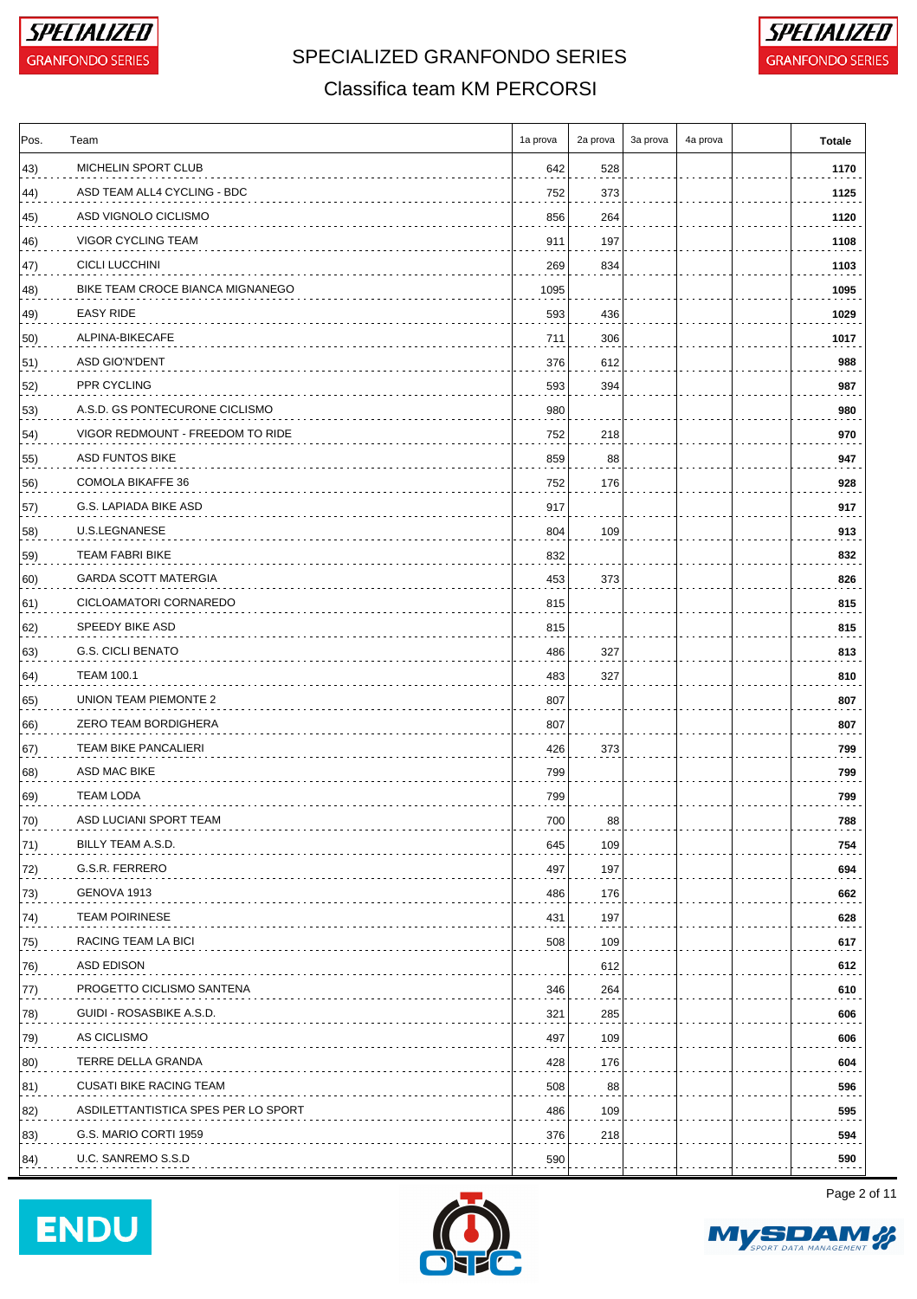



### Classifica team KM PERCORSI

| Pos. | Team                                | 1a prova | 2a prova | 3a prova | 4a prova | <b>Totale</b> |
|------|-------------------------------------|----------|----------|----------|----------|---------------|
| 43)  | MICHELIN SPORT CLUB                 | 642      | 528      |          |          | 1170          |
| 44)  | ASD TEAM ALL4 CYCLING - BDC         | 752      | 373      |          |          | 1125          |
| 45)  | ASD VIGNOLO CICLISMO                | 856      | 264      |          |          | 1120          |
| 46)  | VIGOR CYCLING TEAM                  | 911      | 197      |          |          | 1108          |
| 47)  | <b>CICLI LUCCHINI</b>               | 269      | 834      |          |          | 1103          |
| 48)  | BIKE TEAM CROCE BIANCA MIGNANEGO    | 1095     |          |          |          | 1095          |
| 49)  | EASY RIDE                           | 593      | 436      |          |          | 1029          |
| 50)  | ALPINA-BIKECAFE                     | 711      | 306      |          |          | 1017          |
| 51)  | ASD GIO'N'DENT                      | 376      | 612      |          |          | 988           |
| 52)  | PPR CYCLING                         | 593      | 394      |          |          | 987           |
| 53)  | A.S.D. GS PONTECURONE CICLISMO      | 980      |          |          |          | 980           |
| 54)  | VIGOR REDMOUNT - FREEDOM TO RIDE    | 752      | 218      |          |          | 970           |
| 55)  | <b>ASD FUNTOS BIKE</b>              | 859      | 88       |          |          | 947           |
| 56)  | <b>COMOLA BIKAFFE 36</b>            | 752      | 176      |          |          | 928           |
| 57)  | G.S. LAPIADA BIKE ASD               | 917      |          |          |          | 917           |
| 58)  | U.S.LEGNANESE                       | 804      | 109      |          |          | 913           |
| 59)  | <b>TEAM FABRI BIKE</b>              | 832      |          |          |          | 832           |
| 60)  | <b>GARDA SCOTT MATERGIA</b>         | 453      | 373      |          |          | 826           |
| 61)  | CICLOAMATORI CORNAREDO              | 815      |          |          |          | 815           |
| 62)  | SPEEDY BIKE ASD                     | 815      |          |          |          | 815           |
| 63)  | <b>G.S. CICLI BENATO</b>            | 486      | 327      |          |          | 813           |
| 64)  | <b>TEAM 100.1</b>                   | 483      | 327      |          |          | 810           |
| 65)  | UNION TEAM PIEMONTE 2               | 807      |          |          |          | 807           |
| 66)  | ZERO TEAM BORDIGHERA                | 807      |          |          |          | 807           |
| 67)  | <b>TEAM BIKE PANCALIERI</b>         | 426      | 373      |          |          | 799           |
| 68)  | ASD MAC BIKE                        | 799      |          |          |          | 799           |
| 69)  | <b>TEAM LODA</b>                    | 799      |          |          |          | 799           |
| 70)  | ASD LUCIANI SPORT TEAM              | 700      | 88       |          |          | 788           |
| 71)  | BILLY TEAM A.S.D.                   | 645      | 109      |          |          | 754           |
| 72)  | G.S.R. FERRERO                      | 497      | 197      |          |          | 694           |
| 73)  | GENOVA 1913                         | 486      | 176      |          |          | 662           |
| 74)  | <b>TEAM POIRINESE</b>               | 431      | 197      |          |          | 628           |
| 75)  | RACING TEAM LA BICI                 | 508      | 109      |          |          | 617           |
| 76)  | ASD EDISON                          |          | 612      |          |          | 612           |
| 77)  | PROGETTO CICLISMO SANTENA           | 346      | 264      |          |          | 610           |
| 78)  | GUIDI - ROSASBIKE A.S.D.            | 321      | 285      |          |          | 606           |
| 79)  | AS CICLISMO                         | 497      | 109      |          |          | 606           |
| 80)  | TERRE DELLA GRANDA                  | 428      | 176      |          |          | 604           |
| 81)  | <b>CUSATI BIKE RACING TEAM</b>      | 508      | 88       |          |          | 596           |
| 82)  | ASDILETTANTISTICA SPES PER LO SPORT | 486      | 109      |          |          | 595           |
| 83)  | G.S. MARIO CORTI 1959               | 376      | 218      |          |          | 594           |
| 84)  | U.C. SANREMO S.S.D                  | 590      |          |          |          | 590           |
|      |                                     |          |          |          |          |               |





Page 2 of 11

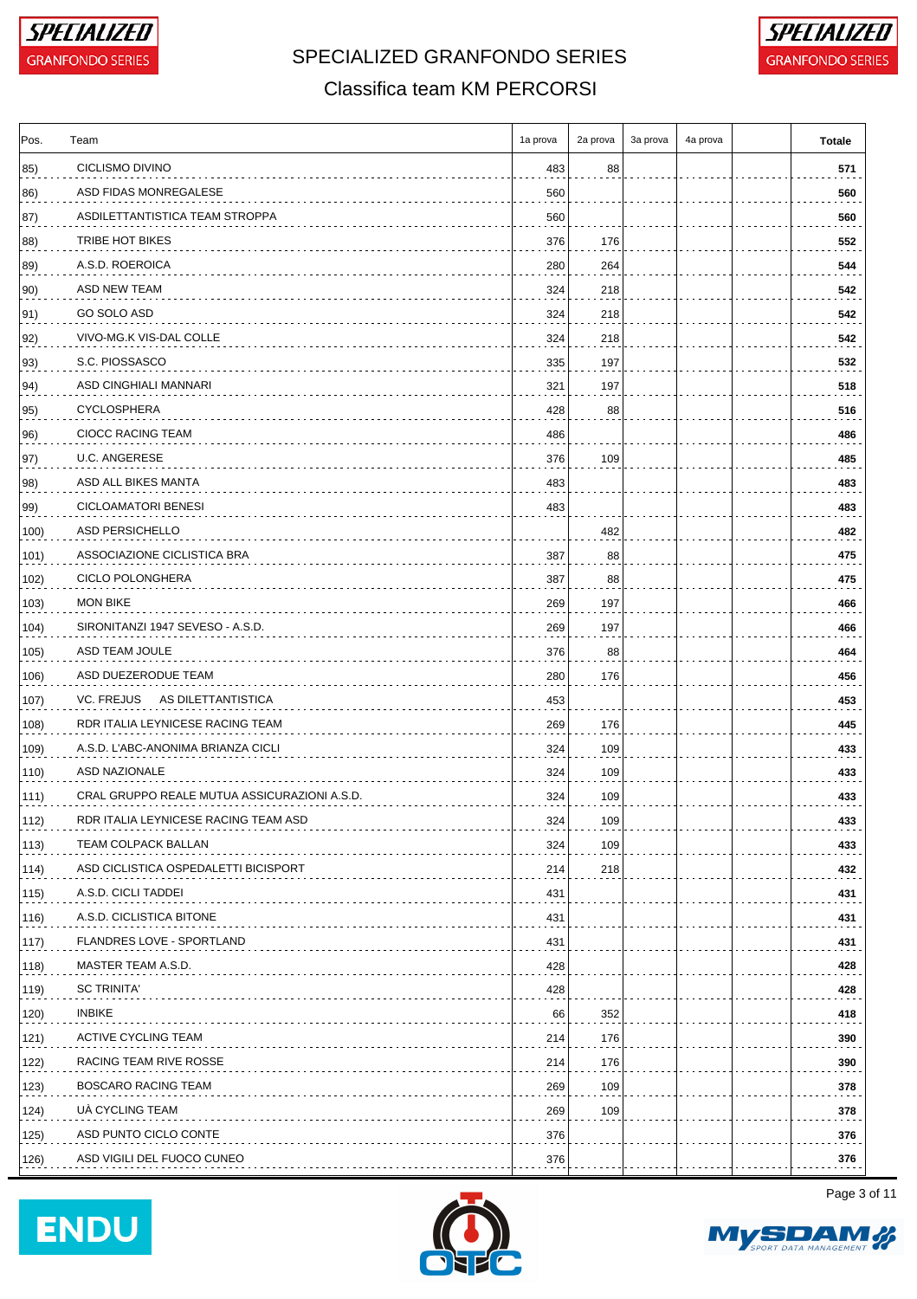



#### Classifica team KM PERCORSI

| Pos.         | Team                                         | 1a prova | 2a prova | 3a prova | 4a prova | <b>Totale</b> |
|--------------|----------------------------------------------|----------|----------|----------|----------|---------------|
| 85)          | CICLISMO DIVINO                              | 483      | 88       |          |          | 571           |
| 86)          | ASD FIDAS MONREGALESE                        | 560      |          |          |          | 560           |
| 87)          | ASDILETTANTISTICA TEAM STROPPA               | 560      |          |          |          | 560           |
| 88)          | TRIBE HOT BIKES                              | 376      | 176      |          |          | 552           |
| 89)          | A.S.D. ROEROICA                              | 280      | 264      |          |          | 544           |
| 90)          | ASD NEW TEAM                                 | 324      | 218      |          |          | 542           |
| 91)          | GO SOLO ASD                                  | 324      | 218      |          |          | 542           |
| $ 92\rangle$ | VIVO-MG.K VIS-DAL COLLE                      | 324      | 218      |          |          | 542           |
| 93)          | S.C. PIOSSASCO                               | 335      | 197      |          |          | 532           |
| 94)          | ASD CINGHIALI MANNARI                        | 321      | 197      |          |          | 518           |
| 95)          | <b>CYCLOSPHERA</b>                           | 428      | 88       |          |          | 516           |
| 96)          | CIOCC RACING TEAM                            | 486      |          |          |          | 486           |
| 97)          | U.C. ANGERESE                                | 376      | 109      |          |          | 485           |
| 98)          | ASD ALL BIKES MANTA                          | 483      |          |          |          | 483           |
| 99)          | <b>CICLOAMATORI BENESI</b>                   | 483      |          |          |          | 483           |
| 100)         | ASD PERSICHELLO                              |          | 482      |          |          | 482           |
| 101)         | ASSOCIAZIONE CICLISTICA BRA                  | 387      | 88       |          |          | 475           |
| 102)         | CICLO POLONGHERA                             | 387      | 88       |          |          | 475           |
| 103)         | <b>MON BIKE</b>                              | 269      | 197      |          |          | 466           |
| 104)         | SIRONITANZI 1947 SEVESO - A.S.D.             | 269      | 197      |          |          | 466           |
| 105)         | ASD TEAM JOULE                               | 376      | 88       |          |          | 464           |
| 106)         | ASD DUEZERODUE TEAM                          | 280      | 176      |          |          | 456           |
| 107)         | VC. FREJUS AS DILETTANTISTICA                | 453      |          |          |          | 453           |
| 108)         | RDR ITALIA LEYNICESE RACING TEAM             | 269      | 176      |          |          | 445           |
| 109)         | A.S.D. L'ABC-ANONIMA BRIANZA CICLI           | 324      | 109      |          |          | 433           |
| 110)         | ASD NAZIONALE                                | 324      | 109      |          |          | 433           |
| 111)         | CRAL GRUPPO REALE MUTUA ASSICURAZIONI A.S.D. | 324      | 109      |          |          | 433           |
| 112)         | RDR ITALIA LEYNICESE RACING TEAM ASD         | 324      | 109      |          |          | 433           |
| 113)         | TEAM COLPACK BALLAN                          | 324      | 109      |          |          | 433           |
| 114)         | ASD CICLISTICA OSPEDALETTI BICISPORT         | 214      | 218      |          |          | 432           |
| 115)         | A.S.D. CICLI TADDEI                          | 431      |          |          |          | 431           |
| 116)         | A.S.D. CICLISTICA BITONE                     | 431      |          |          |          | 431           |
| 117)         | FLANDRES LOVE - SPORTLAND                    | 431      |          |          |          | 431           |
| 118)         | MASTER TEAM A.S.D.                           | 428      |          |          |          | 428           |
| 119)         | <b>SC TRINITA'</b>                           | 428      |          |          |          | 428           |
| 120)         | <b>INBIKE</b>                                | 66       | 352      |          |          | 418           |
| 121)         | ACTIVE CYCLING TEAM                          | 214      | 176      |          |          | 390           |
| 122)         | RACING TEAM RIVE ROSSE                       |          | 176      |          |          | 390           |
|              | BOSCARO RACING TEAM                          | 214      |          |          |          |               |
| 123)         |                                              | 269      | 109      |          |          | 378           |
| 124)         | UA CYCLING TEAM                              | 269      | 109      |          |          | 378           |
| 125)         | ASD PUNTO CICLO CONTE                        | 376      |          |          |          | 376           |
| 126)         | ASD VIGILI DEL FUOCO CUNEO                   | 376      |          |          |          | 376           |





Page 3 of 11

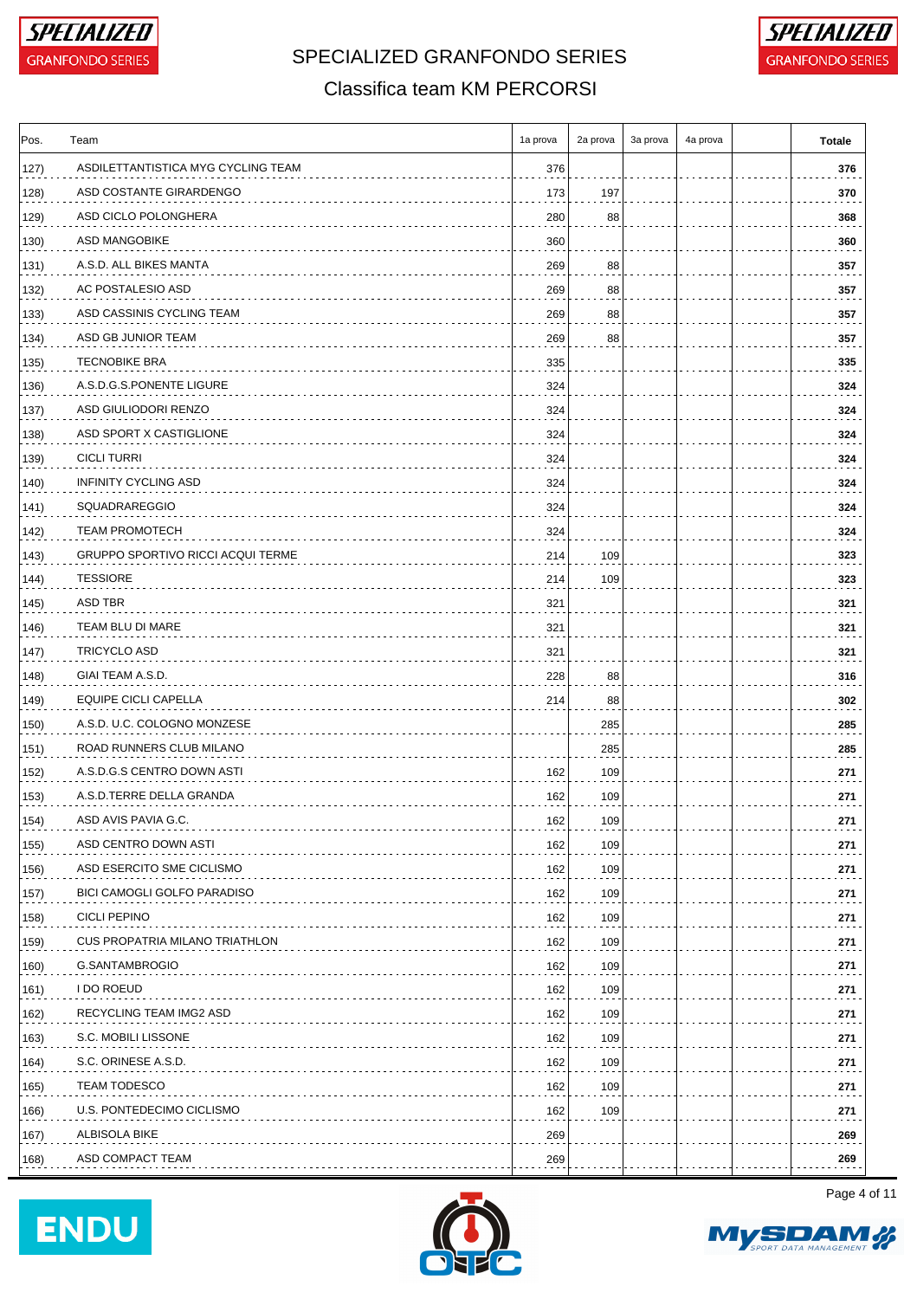



#### Classifica team KM PERCORSI

| Pos. | Team                                     | 1a prova | 2a prova | 3a prova | 4a prova | Totale |
|------|------------------------------------------|----------|----------|----------|----------|--------|
| 127) | ASDILETTANTISTICA MYG CYCLING TEAM       | 376      |          |          |          | 376    |
| 128) | ASD COSTANTE GIRARDENGO                  | 173      | 197      |          |          | 370    |
| 129) | ASD CICLO POLONGHERA                     | 280      | 88       |          |          | 368    |
| 130) | ASD MANGOBIKE                            | 360      |          |          |          | 360    |
| 131) | A.S.D. ALL BIKES MANTA                   | 269      | 88       |          |          | 357    |
| 132) | AC POSTALESIO ASD                        | 269      | 88       |          |          | 357    |
| 133) | ASD CASSINIS CYCLING TEAM                | 269      | 88       |          |          | 357    |
| 134) | ASD GB JUNIOR TEAM                       | 269      | 88       |          |          | 357    |
| 135) | <b>TECNOBIKE BRA</b>                     | 335      |          |          |          | 335    |
| 136) | A.S.D.G.S.PONENTE LIGURE                 | 324      |          |          |          | 324    |
| 137) | ASD GIULIODORI RENZO                     | 324      |          |          |          | 324    |
| 138) | ASD SPORT X CASTIGLIONE                  | 324      |          |          |          | 324    |
| 139) | <b>CICLI TURRI</b>                       | 324      |          |          |          | 324    |
| 140) | <b>INFINITY CYCLING ASD</b>              | 324      |          |          |          | 324    |
| 141) | <b>SQUADRAREGGIO</b>                     | 324      |          |          |          | 324    |
| 142) | <b>TEAM PROMOTECH</b>                    | 324      |          |          |          | 324    |
| 143) | <b>GRUPPO SPORTIVO RICCI ACQUI TERME</b> | 214      | 109      |          |          | 323    |
| 144) | <b>TESSIORE</b>                          | 214      | 109      |          |          | 323    |
| 145) | ASD TBR                                  | 321      |          |          |          | 321    |
| 146) | TEAM BLU DI MARE                         | 321      |          |          |          | 321    |
| 147) | TRICYCLO ASD                             | 321      |          |          |          | 321    |
| 148) | GIAI TEAM A.S.D.                         | 228      | 88       |          |          | 316    |
| 149) | EQUIPE CICLI CAPELLA                     | 214      | 88       |          |          | 302    |
| 150) | A.S.D. U.C. COLOGNO MONZESE              |          | 285      |          |          | 285    |
| 151) | ROAD RUNNERS CLUB MILANO                 |          | 285      |          |          | 285    |
| 152) | A.S.D.G.S CENTRO DOWN ASTI               | 162      | 109      |          |          | 271    |
| 153) | A.S.D.TERRE DELLA GRANDA                 | 162      | 109      |          |          | 271    |
| 154) | ASD AVIS PAVIA G.C.                      | 162      | 109      |          |          | 271    |
| 155) | ASD CENTRO DOWN ASTI                     | 162      | 109      |          |          | 271    |
| 156) | ASD ESERCITO SME CICLISMO                | 162      | 109      |          |          | 271    |
| 157) | BICI CAMOGLI GOLFO PARADISO              | 162      | 109      |          |          | 271    |
| 158) | <b>CICLI PEPINO</b>                      | 162      | 109      |          |          | 271    |
| 159) | <b>CUS PROPATRIA MILANO TRIATHLON</b>    | 162      | 109      |          |          | 271    |
| 160) | G.SANTAMBROGIO                           | 162      | 109      |          |          | 271    |
| 161) | I DO ROEUD                               | 162      | 109      |          |          | 271    |
| 162) | RECYCLING TEAM IMG2 ASD                  | 162      | 109      |          |          | 271    |
| 163) | S.C. MOBILI LISSONE                      | 162      | 109      |          |          | 271    |
| 164) | S.C. ORINESE A.S.D.                      | 162      | 109      |          |          | 271    |
| 165) | <b>TEAM TODESCO</b>                      | 162      | 109      |          |          | 271    |
| 166) | U.S. PONTEDECIMO CICLISMO                | 162      | 109      |          |          | 271    |
| 167) | ALBISOLA BIKE                            | 269      |          |          |          | 269    |
| 168) | ASD COMPACT TEAM                         | 269      |          |          |          | 269    |
|      |                                          |          |          |          |          |        |





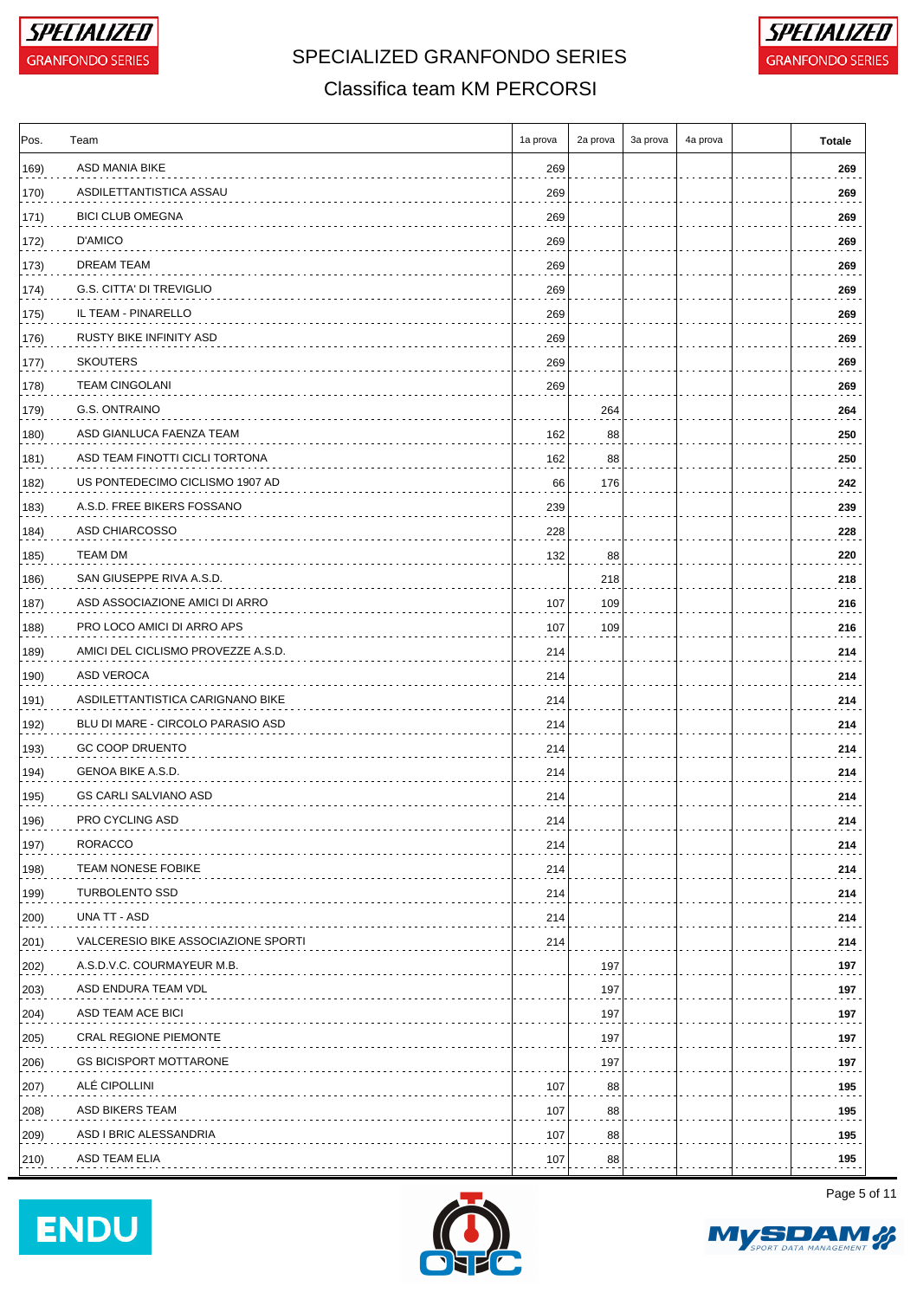



#### Classifica team KM PERCORSI

| Pos.          | Team                                | 1a prova | 2a prova | 3a prova | 4a prova | <b>Totale</b> |
|---------------|-------------------------------------|----------|----------|----------|----------|---------------|
| 169)          | ASD MANIA BIKE                      | 269      |          |          |          | 269           |
| 170)          | ASDILETTANTISTICA ASSAU             | 269      |          |          |          | 269           |
| 171)          | <b>BICI CLUB OMEGNA</b>             | 269      |          |          |          | 269           |
| 172)          | D'AMICO                             | 269      |          |          |          | 269           |
| 173)          | <b>DREAM TEAM</b>                   | 269      |          |          |          | 269           |
| 174)          | G.S. CITTA' DI TREVIGLIO            | 269      |          |          |          | 269           |
| 175)          | IL TEAM - PINARELLO                 | 269      |          |          |          | 269           |
| 176)          | RUSTY BIKE INFINITY ASD             | 269      |          |          |          | 269           |
| 177)          | <b>SKOUTERS</b>                     | 269      |          |          |          | 269           |
| 178)          | <b>TEAM CINGOLANI</b>               | 269      |          |          |          | 269           |
| 179)          | G.S. ONTRAINO                       |          | 264      |          |          | 264           |
| 180)          | ASD GIANLUCA FAENZA TEAM            | 162      | 88       |          |          | 250           |
| 181)          | ASD TEAM FINOTTI CICLI TORTONA      | 162      | 88       |          |          | 250           |
| 182)          | US PONTEDECIMO CICLISMO 1907 AD     | 66       | 176      |          |          | 242           |
| 183)          | A.S.D. FREE BIKERS FOSSANO          | 239      |          |          |          | 239           |
| 184)          | ASD CHIARCOSSO                      | 228      |          |          |          | 228           |
| 185)          | TEAM DM                             | 132      | 88       |          |          | 220           |
| 186)          | SAN GIUSEPPE RIVA A.S.D.            |          | 218      |          |          | 218           |
| 187)          | ASD ASSOCIAZIONE AMICI DI ARRO      | 107      | 109      |          |          | 216           |
| 188)          | PRO LOCO AMICI DI ARRO APS          | 107      | 109      |          |          | 216           |
| 189)          | AMICI DEL CICLISMO PROVEZZE A.S.D.  | 214      |          |          |          | 214           |
| 190)          | ASD VEROCA                          | 214      |          |          |          | 214           |
| 191)          | ASDILETTANTISTICA CARIGNANO BIKE    | 214      |          |          |          | 214           |
| 192)          | BLU DI MARE - CIRCOLO PARASIO ASD   | 214      |          |          |          | 214           |
| 193)          | <b>GC COOP DRUENTO</b>              | 214      |          |          |          | 214           |
| 194)          | GENOA BIKE A.S.D.                   | 214      |          |          |          | 214           |
| 195)          | <b>GS CARLI SALVIANO ASD</b>        | 214      |          |          |          | 214           |
| 196)          | PRO CYCLING ASD                     | 214      |          |          |          | 214           |
| 197)          | RORACCO                             | 214      |          |          |          | 214           |
| 198)          | <b>TEAM NONESE FOBIKE</b>           | 214      |          |          |          | 214           |
| 199)          | <b>TURBOLENTO SSD</b>               | 214      |          |          |          | 214           |
| 200)          | UNA TT - ASD                        | 214      |          |          |          | 214           |
| $ 201\rangle$ | VALCERESIO BIKE ASSOCIAZIONE SPORTI | 214      |          |          |          | 214           |
| 202)          | A.S.D.V.C. COURMAYEUR M.B.          |          | 197      |          |          | 197           |
| 203)          | ASD ENDURA TEAM VDL                 |          | 197      |          |          | 197           |
| 204)          | ASD TEAM ACE BICI                   |          | 197      |          |          | 197           |
| 205)          | <b>CRAL REGIONE PIEMONTE</b>        |          | 197      |          |          | 197           |
| 206)          | <b>GS BICISPORT MOTTARONE</b>       |          | 197      |          |          | 197           |
| 207)          | ALÉ CIPOLLINI                       | 107      | 88       |          |          | 195           |
| 208)          | ASD BIKERS TEAM                     | 107      | 88       |          |          | 195           |
| 209)          | ASD I BRIC ALESSANDRIA              | 107      | 88       |          |          | 195           |
| (210)         | ASD TEAM ELIA                       | 107      | 88       |          |          | 195           |
|               |                                     |          |          |          |          |               |





Page 5 of 11

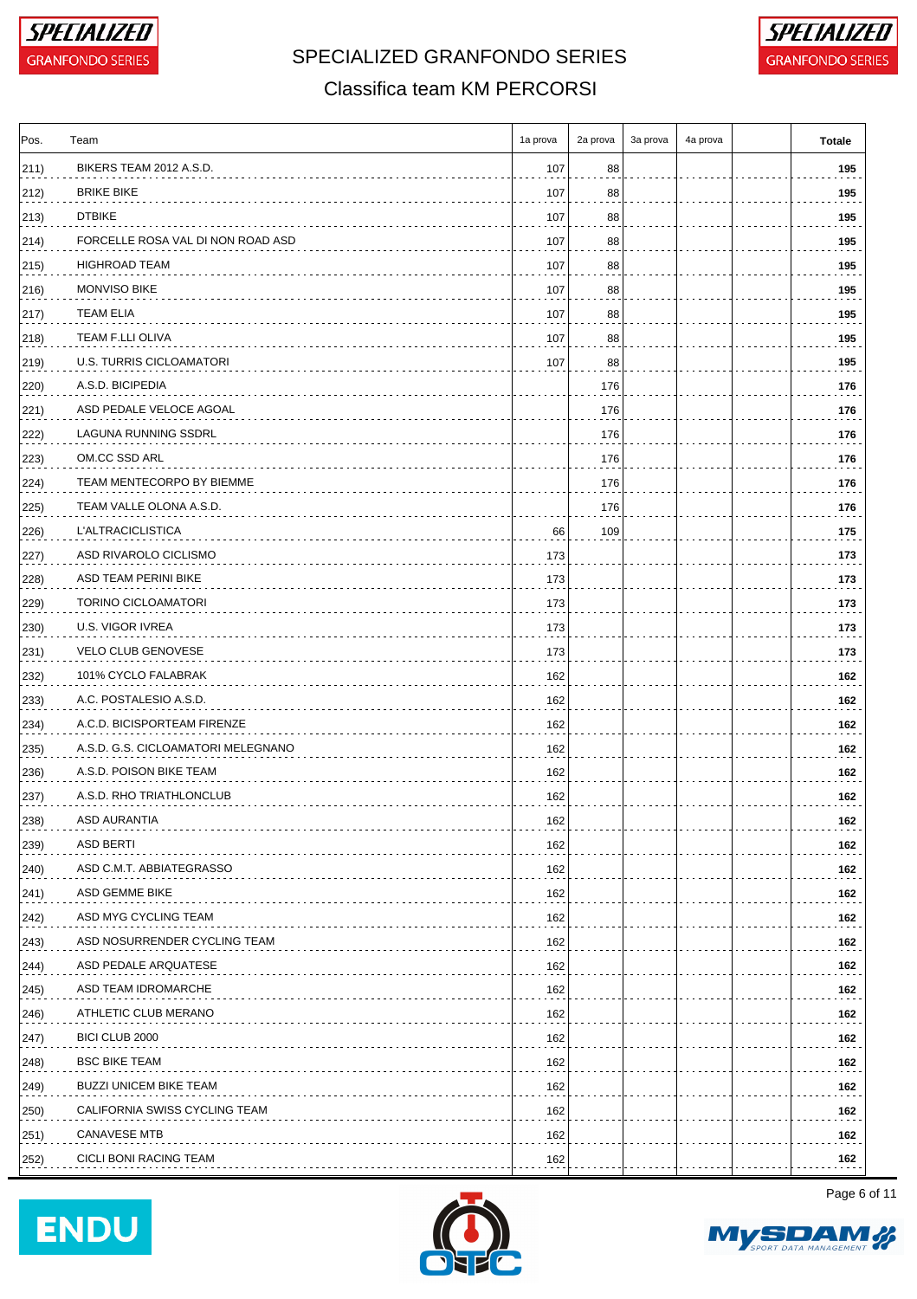

# SPECIALIZED GRANFONDO SERIES **FOR A GRANFONDO SERIES**



#### Classifica team KM PERCORSI

| Pos. | Team                               | 1a prova | 2a prova | 3a prova | 4a prova | <b>Totale</b> |
|------|------------------------------------|----------|----------|----------|----------|---------------|
| 211) | BIKERS TEAM 2012 A.S.D.            | 107      | 88       |          |          | 195           |
| 212) | <b>BRIKE BIKE</b>                  | 107      | 88       |          |          | 195           |
| 213) | <b>DTBIKE</b>                      | 107      | 88       |          |          | 195           |
| 214) | FORCELLE ROSA VAL DI NON ROAD ASD  | 107      | 88       |          |          | 195           |
| 215) | HIGHROAD TEAM                      | 107      | 88       |          |          | 195           |
| 216) | <b>MONVISO BIKE</b>                | 107      | 88       |          |          | 195           |
| 217) | TEAM ELIA                          | 107      | 88       |          |          | 195           |
| 218) | TEAM F.LLI OLIVA                   | 107      | 88       |          |          | 195           |
| 219) | U.S. TURRIS CICLOAMATORI           | 107      | 88       |          |          | 195           |
| 220) | A.S.D. BICIPEDIA                   |          | 176      |          |          | 176           |
| 221) | ASD PEDALE VELOCE AGOAL            |          | 176      |          |          | 176           |
| 222) | LAGUNA RUNNING SSDRL               |          | 176      |          |          | 176           |
| 223) | OM.CC SSD ARL                      |          | 176      |          |          | 176           |
| 224) | TEAM MENTECORPO BY BIEMME          |          | 176      |          |          | 176           |
| 225) | TEAM VALLE OLONA A.S.D.            |          | 176      |          |          | 176           |
| 226) | <b>L'ALTRACICLISTICA</b>           | 66       | 109      |          |          | 175           |
| 227) | ASD RIVAROLO CICLISMO              | 173      |          |          |          | 173           |
| 228) | ASD TEAM PERINI BIKE               | 173      |          |          |          | 173           |
| 229) | <b>TORINO CICLOAMATORI</b>         | 173      |          |          |          | 173           |
| 230) | U.S. VIGOR IVREA                   | 173      |          |          |          | 173           |
| 231) | <b>VELO CLUB GENOVESE</b>          | 173      |          |          |          | 173           |
| 232) | 101% CYCLO FALABRAK                | 162      |          |          |          | 162           |
| 233) | A.C. POSTALESIO A.S.D.             | 162      |          |          |          | 162           |
| 234) | A.C.D. BICISPORTEAM FIRENZE        | 162      |          |          |          | 162           |
| 235) | A.S.D. G.S. CICLOAMATORI MELEGNANO | 162      |          |          |          | 162           |
| 236) | A.S.D. POISON BIKE TEAM            | 162      |          |          |          | 162           |
| 237) | A.S.D. RHO TRIATHLONCLUB           | 162      |          |          |          | 162           |
| 238) | ASD AURANTIA                       | 162      |          |          |          | 162           |
| 239) | <b>ASD BERTI</b>                   | 162      |          |          |          | 162           |
| 240) | ASD C.M.T. ABBIATEGRASSO           | 162      |          |          |          | 162           |
| 241) | ASD GEMME BIKE                     | 162      |          |          |          | 162           |
| 242) | ASD MYG CYCLING TEAM               | 162      |          |          |          | 162           |
| 243) | ASD NOSURRENDER CYCLING TEAM       | 162      |          |          |          | 162           |
| 244) | ASD PEDALE ARQUATESE               | 162      |          |          |          | 162           |
| 245) | ASD TEAM IDROMARCHE                | 162      |          |          |          | 162           |
| 246) | ATHLETIC CLUB MERANO               | 162      |          |          |          | 162           |
| 247) | BICI CLUB 2000                     | 162      |          |          |          | 162           |
| 248) | <b>BSC BIKE TEAM</b>               | 162      |          |          |          | 162           |
| 249) | <b>BUZZI UNICEM BIKE TEAM</b>      | 162      |          |          |          | 162           |
| 250) | CALIFORNIA SWISS CYCLING TEAM      | 162      |          |          |          | 162           |
| 251) | <b>CANAVESE MTB</b>                | 162      |          |          |          | 162           |
| 252) | CICLI BONI RACING TEAM             | 162      |          |          |          | 162           |
|      |                                    |          |          |          |          |               |





Page 6 of 11

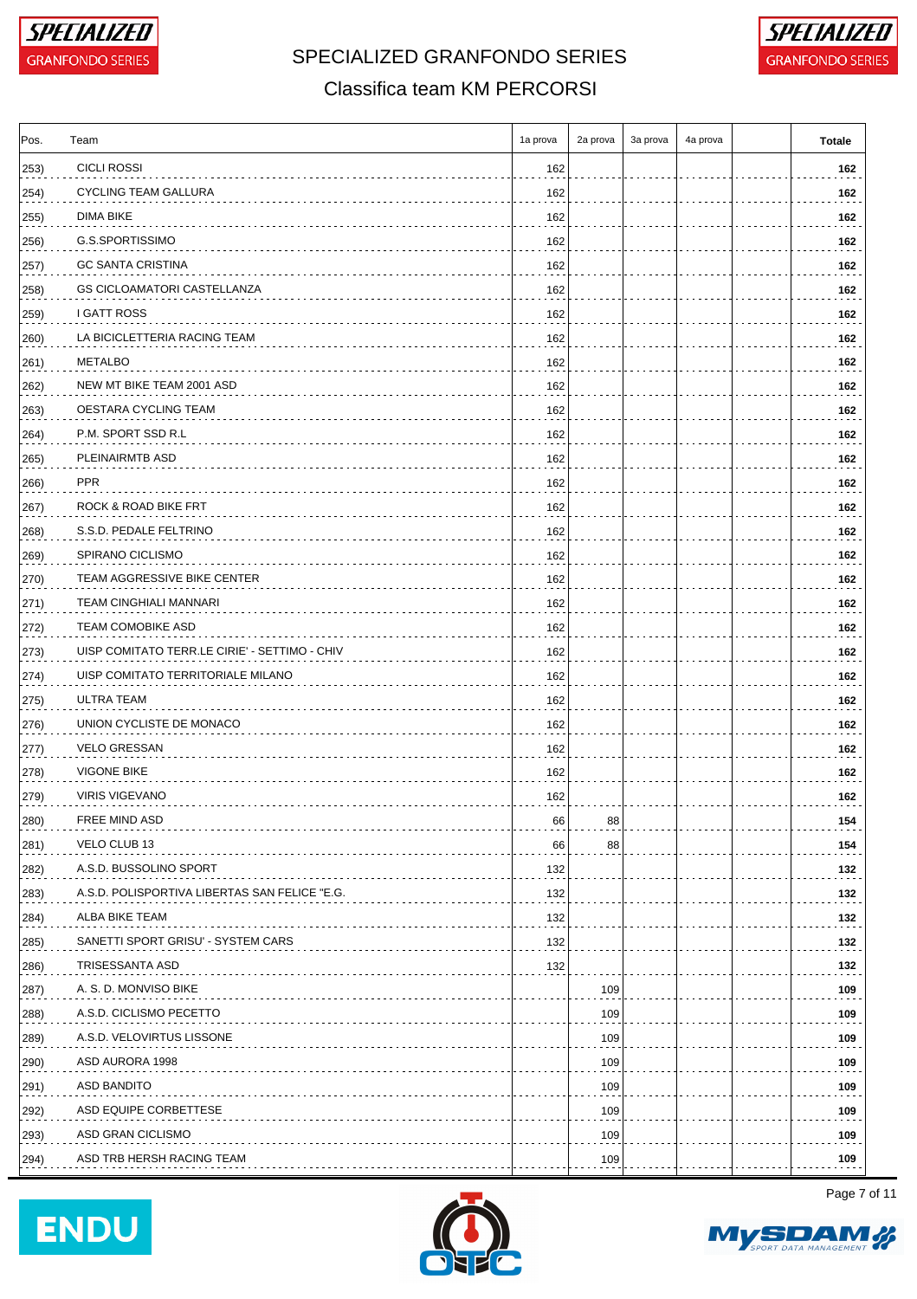



#### Classifica team KM PERCORSI

| <b>CICLI ROSSI</b><br>162<br><b>CYCLING TEAM GALLURA</b><br>162<br>DIMA BIKE<br>162<br>G.S.SPORTISSIMO<br>162<br><b>GC SANTA CRISTINA</b><br>162<br><b>GS CICLOAMATORI CASTELLANZA</b><br>162<br>I GATT ROSS<br>162<br>LA BICICLETTERIA RACING TEAM<br>162<br>METALBO<br>162<br>NEW MT BIKE TEAM 2001 ASD<br>162<br>OESTARA CYCLING TEAM<br>162<br>P.M. SPORT SSD R.L<br>162<br>PLEINAIRMTB ASD<br>162<br>PPR<br>162<br>ROCK & ROAD BIKE FRT<br>162<br>S.S.D. PEDALE FELTRINO<br>162<br>SPIRANO CICLISMO<br>269)<br>162<br>270)<br>TEAM AGGRESSIVE BIKE CENTER<br>162<br><b>TEAM CINGHIALI MANNARI</b><br>271)<br>162<br>TEAM COMOBIKE ASD<br>$ 272\rangle$<br>162<br>UISP COMITATO TERR.LE CIRIE' - SETTIMO - CHIV<br>273)<br>162<br>274)<br>UISP COMITATO TERRITORIALE MILANO<br>162<br>ULTRA TEAM<br>275)<br>162<br>UNION CYCLISTE DE MONACO<br>276)<br>162<br><b>VELO GRESSAN</b><br>277)<br>162<br>278)<br><b>VIGONE BIKE</b><br>162<br><b>VIRIS VIGEVANO</b><br>279)<br>162<br>280)<br><b>FREE MIND ASD</b><br>66<br>88<br>VELO CLUB 13<br>281)<br>66<br>88<br>A.S.D. BUSSOLINO SPORT<br>132<br>282)<br>A.S.D. POLISPORTIVA LIBERTAS SAN FELICE "E.G.<br>132<br>ALBA BIKE TEAM<br>284)<br>132<br>SANETTI SPORT GRISU' - SYSTEM CARS<br>132<br>TRISESSANTA ASD<br>132<br>286)<br>A. S. D. MONVISO BIKE<br>287)<br>109<br>A.S.D. CICLISMO PECETTO<br>109<br>288)<br>A.S.D. VELOVIRTUS LISSONE<br>109<br>289)<br>ASD AURORA 1998<br>109<br>ASD BANDITO<br>109<br>ASD EQUIPE CORBETTESE<br>109<br>ASD GRAN CICLISMO<br>109<br>ASD TRB HERSH RACING TEAM | Pos. | Team | 1a prova | 2a prova | 3a prova | 4a prova | Totale |
|-----------------------------------------------------------------------------------------------------------------------------------------------------------------------------------------------------------------------------------------------------------------------------------------------------------------------------------------------------------------------------------------------------------------------------------------------------------------------------------------------------------------------------------------------------------------------------------------------------------------------------------------------------------------------------------------------------------------------------------------------------------------------------------------------------------------------------------------------------------------------------------------------------------------------------------------------------------------------------------------------------------------------------------------------------------------------------------------------------------------------------------------------------------------------------------------------------------------------------------------------------------------------------------------------------------------------------------------------------------------------------------------------------------------------------------------------------------------------------------------------------------------------------------------------------------|------|------|----------|----------|----------|----------|--------|
|                                                                                                                                                                                                                                                                                                                                                                                                                                                                                                                                                                                                                                                                                                                                                                                                                                                                                                                                                                                                                                                                                                                                                                                                                                                                                                                                                                                                                                                                                                                                                           | 253) |      |          |          |          |          | 162    |
|                                                                                                                                                                                                                                                                                                                                                                                                                                                                                                                                                                                                                                                                                                                                                                                                                                                                                                                                                                                                                                                                                                                                                                                                                                                                                                                                                                                                                                                                                                                                                           | 254) |      |          |          |          |          | 162    |
|                                                                                                                                                                                                                                                                                                                                                                                                                                                                                                                                                                                                                                                                                                                                                                                                                                                                                                                                                                                                                                                                                                                                                                                                                                                                                                                                                                                                                                                                                                                                                           | 255) |      |          |          |          |          | 162    |
|                                                                                                                                                                                                                                                                                                                                                                                                                                                                                                                                                                                                                                                                                                                                                                                                                                                                                                                                                                                                                                                                                                                                                                                                                                                                                                                                                                                                                                                                                                                                                           | 256) |      |          |          |          |          | 162    |
|                                                                                                                                                                                                                                                                                                                                                                                                                                                                                                                                                                                                                                                                                                                                                                                                                                                                                                                                                                                                                                                                                                                                                                                                                                                                                                                                                                                                                                                                                                                                                           | 257) |      |          |          |          |          | 162    |
|                                                                                                                                                                                                                                                                                                                                                                                                                                                                                                                                                                                                                                                                                                                                                                                                                                                                                                                                                                                                                                                                                                                                                                                                                                                                                                                                                                                                                                                                                                                                                           | 258) |      |          |          |          |          | 162    |
|                                                                                                                                                                                                                                                                                                                                                                                                                                                                                                                                                                                                                                                                                                                                                                                                                                                                                                                                                                                                                                                                                                                                                                                                                                                                                                                                                                                                                                                                                                                                                           | 259) |      |          |          |          |          | 162    |
|                                                                                                                                                                                                                                                                                                                                                                                                                                                                                                                                                                                                                                                                                                                                                                                                                                                                                                                                                                                                                                                                                                                                                                                                                                                                                                                                                                                                                                                                                                                                                           | 260) |      |          |          |          |          | 162    |
|                                                                                                                                                                                                                                                                                                                                                                                                                                                                                                                                                                                                                                                                                                                                                                                                                                                                                                                                                                                                                                                                                                                                                                                                                                                                                                                                                                                                                                                                                                                                                           | 261) |      |          |          |          |          | 162    |
|                                                                                                                                                                                                                                                                                                                                                                                                                                                                                                                                                                                                                                                                                                                                                                                                                                                                                                                                                                                                                                                                                                                                                                                                                                                                                                                                                                                                                                                                                                                                                           | 262) |      |          |          |          |          | 162    |
|                                                                                                                                                                                                                                                                                                                                                                                                                                                                                                                                                                                                                                                                                                                                                                                                                                                                                                                                                                                                                                                                                                                                                                                                                                                                                                                                                                                                                                                                                                                                                           | 263) |      |          |          |          |          | 162    |
|                                                                                                                                                                                                                                                                                                                                                                                                                                                                                                                                                                                                                                                                                                                                                                                                                                                                                                                                                                                                                                                                                                                                                                                                                                                                                                                                                                                                                                                                                                                                                           | 264) |      |          |          |          |          | 162    |
|                                                                                                                                                                                                                                                                                                                                                                                                                                                                                                                                                                                                                                                                                                                                                                                                                                                                                                                                                                                                                                                                                                                                                                                                                                                                                                                                                                                                                                                                                                                                                           | 265) |      |          |          |          |          | 162    |
|                                                                                                                                                                                                                                                                                                                                                                                                                                                                                                                                                                                                                                                                                                                                                                                                                                                                                                                                                                                                                                                                                                                                                                                                                                                                                                                                                                                                                                                                                                                                                           | 266) |      |          |          |          |          | 162    |
|                                                                                                                                                                                                                                                                                                                                                                                                                                                                                                                                                                                                                                                                                                                                                                                                                                                                                                                                                                                                                                                                                                                                                                                                                                                                                                                                                                                                                                                                                                                                                           | 267) |      |          |          |          |          | 162    |
|                                                                                                                                                                                                                                                                                                                                                                                                                                                                                                                                                                                                                                                                                                                                                                                                                                                                                                                                                                                                                                                                                                                                                                                                                                                                                                                                                                                                                                                                                                                                                           | 268) |      |          |          |          |          | 162    |
|                                                                                                                                                                                                                                                                                                                                                                                                                                                                                                                                                                                                                                                                                                                                                                                                                                                                                                                                                                                                                                                                                                                                                                                                                                                                                                                                                                                                                                                                                                                                                           |      |      |          |          |          |          | 162    |
|                                                                                                                                                                                                                                                                                                                                                                                                                                                                                                                                                                                                                                                                                                                                                                                                                                                                                                                                                                                                                                                                                                                                                                                                                                                                                                                                                                                                                                                                                                                                                           |      |      |          |          |          |          | 162    |
|                                                                                                                                                                                                                                                                                                                                                                                                                                                                                                                                                                                                                                                                                                                                                                                                                                                                                                                                                                                                                                                                                                                                                                                                                                                                                                                                                                                                                                                                                                                                                           |      |      |          |          |          |          | 162    |
|                                                                                                                                                                                                                                                                                                                                                                                                                                                                                                                                                                                                                                                                                                                                                                                                                                                                                                                                                                                                                                                                                                                                                                                                                                                                                                                                                                                                                                                                                                                                                           |      |      |          |          |          |          | 162    |
|                                                                                                                                                                                                                                                                                                                                                                                                                                                                                                                                                                                                                                                                                                                                                                                                                                                                                                                                                                                                                                                                                                                                                                                                                                                                                                                                                                                                                                                                                                                                                           |      |      |          |          |          |          | 162    |
|                                                                                                                                                                                                                                                                                                                                                                                                                                                                                                                                                                                                                                                                                                                                                                                                                                                                                                                                                                                                                                                                                                                                                                                                                                                                                                                                                                                                                                                                                                                                                           |      |      |          |          |          |          | 162    |
|                                                                                                                                                                                                                                                                                                                                                                                                                                                                                                                                                                                                                                                                                                                                                                                                                                                                                                                                                                                                                                                                                                                                                                                                                                                                                                                                                                                                                                                                                                                                                           |      |      |          |          |          |          | 162    |
|                                                                                                                                                                                                                                                                                                                                                                                                                                                                                                                                                                                                                                                                                                                                                                                                                                                                                                                                                                                                                                                                                                                                                                                                                                                                                                                                                                                                                                                                                                                                                           |      |      |          |          |          |          | 162    |
|                                                                                                                                                                                                                                                                                                                                                                                                                                                                                                                                                                                                                                                                                                                                                                                                                                                                                                                                                                                                                                                                                                                                                                                                                                                                                                                                                                                                                                                                                                                                                           |      |      |          |          |          |          | 162    |
|                                                                                                                                                                                                                                                                                                                                                                                                                                                                                                                                                                                                                                                                                                                                                                                                                                                                                                                                                                                                                                                                                                                                                                                                                                                                                                                                                                                                                                                                                                                                                           |      |      |          |          |          |          | 162    |
|                                                                                                                                                                                                                                                                                                                                                                                                                                                                                                                                                                                                                                                                                                                                                                                                                                                                                                                                                                                                                                                                                                                                                                                                                                                                                                                                                                                                                                                                                                                                                           |      |      |          |          |          |          | 162    |
|                                                                                                                                                                                                                                                                                                                                                                                                                                                                                                                                                                                                                                                                                                                                                                                                                                                                                                                                                                                                                                                                                                                                                                                                                                                                                                                                                                                                                                                                                                                                                           |      |      |          |          |          |          | 154    |
|                                                                                                                                                                                                                                                                                                                                                                                                                                                                                                                                                                                                                                                                                                                                                                                                                                                                                                                                                                                                                                                                                                                                                                                                                                                                                                                                                                                                                                                                                                                                                           |      |      |          |          |          |          | 154    |
|                                                                                                                                                                                                                                                                                                                                                                                                                                                                                                                                                                                                                                                                                                                                                                                                                                                                                                                                                                                                                                                                                                                                                                                                                                                                                                                                                                                                                                                                                                                                                           |      |      |          |          |          |          | 132    |
|                                                                                                                                                                                                                                                                                                                                                                                                                                                                                                                                                                                                                                                                                                                                                                                                                                                                                                                                                                                                                                                                                                                                                                                                                                                                                                                                                                                                                                                                                                                                                           | 283) |      |          |          |          |          | 132    |
|                                                                                                                                                                                                                                                                                                                                                                                                                                                                                                                                                                                                                                                                                                                                                                                                                                                                                                                                                                                                                                                                                                                                                                                                                                                                                                                                                                                                                                                                                                                                                           |      |      |          |          |          |          | 132    |
|                                                                                                                                                                                                                                                                                                                                                                                                                                                                                                                                                                                                                                                                                                                                                                                                                                                                                                                                                                                                                                                                                                                                                                                                                                                                                                                                                                                                                                                                                                                                                           | 285) |      |          |          |          |          | 132    |
|                                                                                                                                                                                                                                                                                                                                                                                                                                                                                                                                                                                                                                                                                                                                                                                                                                                                                                                                                                                                                                                                                                                                                                                                                                                                                                                                                                                                                                                                                                                                                           |      |      |          |          |          |          | 132    |
|                                                                                                                                                                                                                                                                                                                                                                                                                                                                                                                                                                                                                                                                                                                                                                                                                                                                                                                                                                                                                                                                                                                                                                                                                                                                                                                                                                                                                                                                                                                                                           |      |      |          |          |          |          | 109    |
|                                                                                                                                                                                                                                                                                                                                                                                                                                                                                                                                                                                                                                                                                                                                                                                                                                                                                                                                                                                                                                                                                                                                                                                                                                                                                                                                                                                                                                                                                                                                                           |      |      |          |          |          |          | 109    |
|                                                                                                                                                                                                                                                                                                                                                                                                                                                                                                                                                                                                                                                                                                                                                                                                                                                                                                                                                                                                                                                                                                                                                                                                                                                                                                                                                                                                                                                                                                                                                           |      |      |          |          |          |          | 109    |
|                                                                                                                                                                                                                                                                                                                                                                                                                                                                                                                                                                                                                                                                                                                                                                                                                                                                                                                                                                                                                                                                                                                                                                                                                                                                                                                                                                                                                                                                                                                                                           | 290) |      |          |          |          |          | 109    |
|                                                                                                                                                                                                                                                                                                                                                                                                                                                                                                                                                                                                                                                                                                                                                                                                                                                                                                                                                                                                                                                                                                                                                                                                                                                                                                                                                                                                                                                                                                                                                           | 291) |      |          |          |          |          | 109    |
|                                                                                                                                                                                                                                                                                                                                                                                                                                                                                                                                                                                                                                                                                                                                                                                                                                                                                                                                                                                                                                                                                                                                                                                                                                                                                                                                                                                                                                                                                                                                                           | 292) |      |          |          |          |          | 109    |
|                                                                                                                                                                                                                                                                                                                                                                                                                                                                                                                                                                                                                                                                                                                                                                                                                                                                                                                                                                                                                                                                                                                                                                                                                                                                                                                                                                                                                                                                                                                                                           | 293) |      |          |          |          |          | 109    |
|                                                                                                                                                                                                                                                                                                                                                                                                                                                                                                                                                                                                                                                                                                                                                                                                                                                                                                                                                                                                                                                                                                                                                                                                                                                                                                                                                                                                                                                                                                                                                           | 294) |      |          | 109      |          |          | 109    |





Page 7 of 11

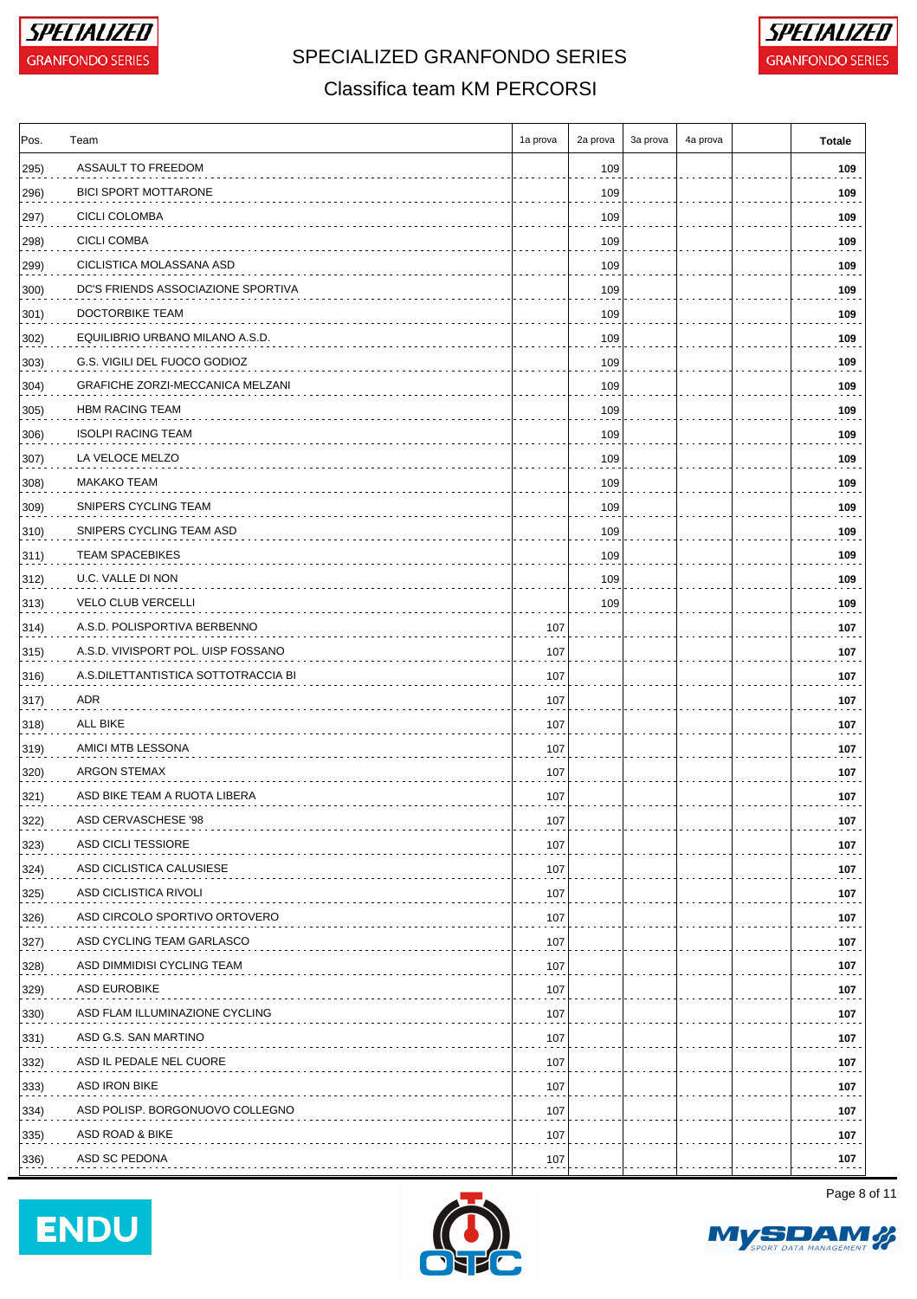

## SPECIALIZED GRANFONDO SERIES **FOR A GRANFONDO SERIES**



#### Classifica team KM PERCORSI

| Pos.          | Team                                | 1a prova | 2a prova | 3a prova | 4a prova | <b>Totale</b> |
|---------------|-------------------------------------|----------|----------|----------|----------|---------------|
| 295)          | ASSAULT TO FREEDOM                  |          | 109      |          |          | 109           |
| 296)          | <b>BICI SPORT MOTTARONE</b>         |          | 109      |          |          | 109           |
| 297)          | CICLI COLOMBA                       |          | 109      |          |          | 109           |
| 298)          | <b>CICLI COMBA</b>                  |          | 109      |          |          | 109           |
| 299)          | CICLISTICA MOLASSANA ASD            |          | 109      |          |          | 109           |
| 300)          | DC'S FRIENDS ASSOCIAZIONE SPORTIVA  |          | 109      |          |          | 109           |
| 301)          | DOCTORBIKE TEAM                     |          | 109      |          |          | 109           |
| 302)          | EQUILIBRIO URBANO MILANO A.S.D.     |          | 109      |          |          | 109           |
| 303)          | G.S. VIGILI DEL FUOCO GODIOZ        |          | 109      |          |          | 109           |
| 304)          | GRAFICHE ZORZI-MECCANICA MELZANI    |          | 109      |          |          | 109           |
| 305)          | HBM RACING TEAM                     |          | 109      |          |          | 109           |
| 306)          | <b>ISOLPI RACING TEAM</b>           |          | 109      |          |          | 109           |
| 307)          | LA VELOCE MELZO                     |          | 109      |          |          | 109           |
| 308)          | MAKAKO TEAM                         |          | 109      |          |          | 109           |
| 309)          | SNIPERS CYCLING TEAM                |          | 109      |          |          | 109           |
| 310)          | SNIPERS CYCLING TEAM ASD            |          | 109      |          |          | 109           |
| $ 311\rangle$ | <b>TEAM SPACEBIKES</b>              |          | 109      |          |          | 109           |
| 312)          | U.C. VALLE DI NON                   |          | 109      |          |          | 109           |
| 313)          | <b>VELO CLUB VERCELLI</b>           |          | 109      |          |          | 109           |
| $ 314\rangle$ | A.S.D. POLISPORTIVA BERBENNO        | 107      |          |          |          | 107           |
| 315)          | A.S.D. VIVISPORT POL. UISP FOSSANO  | 107      |          |          |          | 107           |
| 316)          | A.S.DILETTANTISTICA SOTTOTRACCIA BI | 107      |          |          |          | 107           |
| $ 317\rangle$ | ADR                                 | 107      |          |          |          | 107           |
| $ 318\rangle$ | ALL BIKE                            | 107      |          |          |          | 107           |
| 319)          | AMICI MTB LESSONA                   | 107      |          |          |          | 107           |
| 320)          | <b>ARGON STEMAX</b>                 | 107      |          |          |          | 107           |
| 321)          | ASD BIKE TEAM A RUOTA LIBERA        | 107      |          |          |          | 107           |
| 322)          | ASD CERVASCHESE '98                 | 107      |          |          |          | 107           |
| 323)          | ASD CICLI TESSIORE                  | 107      |          |          |          | 107           |
| 324)          | ASD CICLISTICA CALUSIESE            | 107      |          |          |          | 107           |
| 325)          | ASD CICLISTICA RIVOLI               | 107      |          |          |          | 107           |
| 326)          | ASD CIRCOLO SPORTIVO ORTOVERO       | 107      |          |          |          | 107           |
| 327)          | ASD CYCLING TEAM GARLASCO           | 107      |          |          |          | 107           |
| 328)          | ASD DIMMIDISI CYCLING TEAM          | 107      |          |          |          | 107           |
| 329)          | <b>ASD EUROBIKE</b>                 | 107      |          |          |          | 107           |
| 330)          | ASD FLAM ILLUMINAZIONE CYCLING      | 107      |          |          |          | 107           |
| 331)          | ASD G.S. SAN MARTINO                | 107      |          |          |          | 107           |
| 332)          | ASD IL PEDALE NEL CUORE             | 107      |          |          |          | 107           |
| 333)          | ASD IRON BIKE                       | 107      |          |          |          | 107           |
| 334)          | ASD POLISP. BORGONUOVO COLLEGNO     | 107      |          |          |          | 107           |
| 335)          | ASD ROAD & BIKE                     | 107      |          |          |          | 107           |
| 336)          | ASD SC PEDONA                       | 107      |          |          |          | 107           |







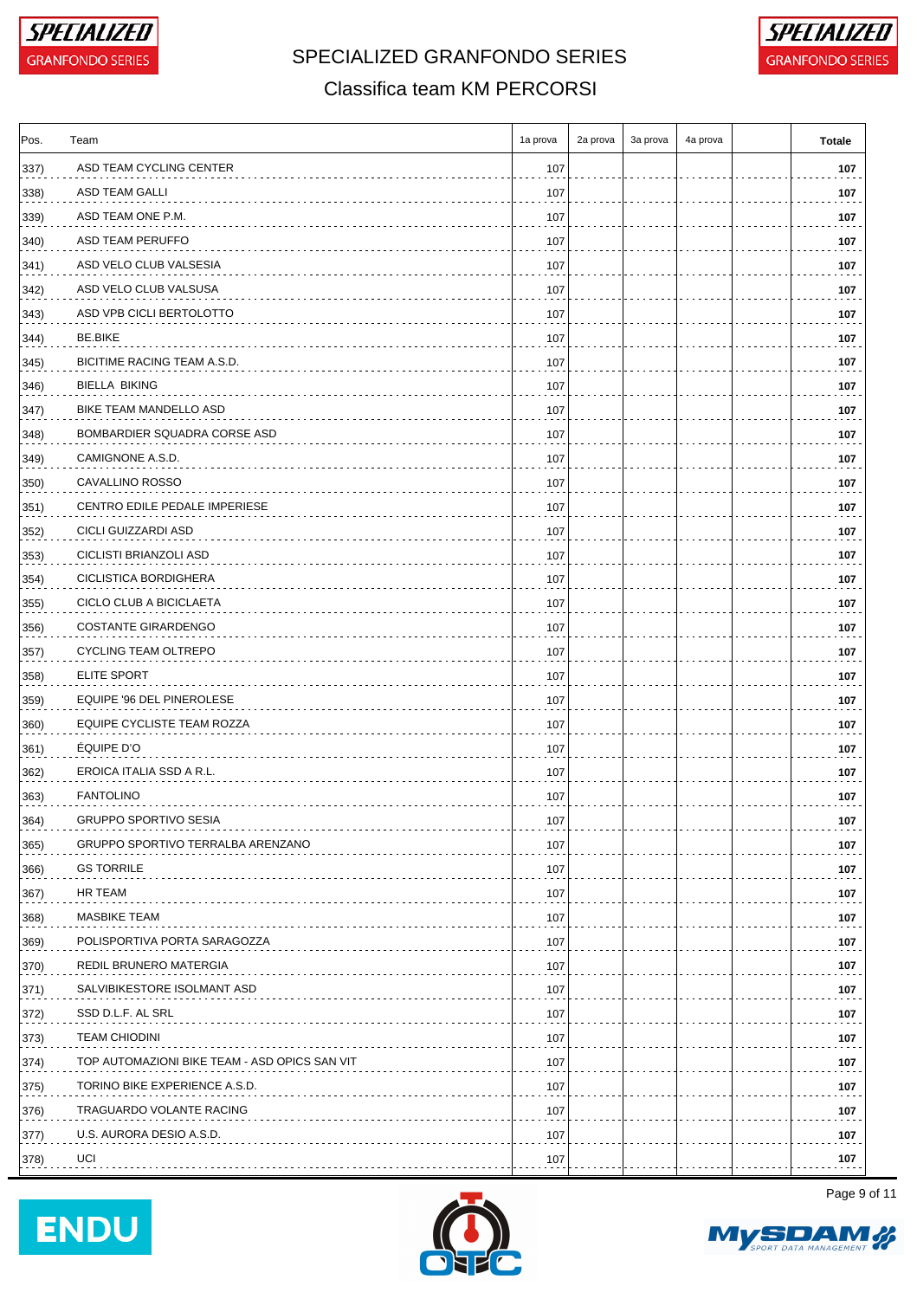



#### Classifica team KM PERCORSI

| Pos.          | Team                                          | 1a prova | 2a prova | 3a prova | 4a prova | <b>Totale</b> |
|---------------|-----------------------------------------------|----------|----------|----------|----------|---------------|
| 337)          | ASD TEAM CYCLING CENTER                       | 107      |          |          |          | 107           |
| 338)          | ASD TEAM GALLI                                | 107      |          |          |          | 107           |
| 339)          | ASD TEAM ONE P.M.                             | 107      |          |          |          | 107           |
| 340)          | ASD TEAM PERUFFO                              | 107      |          |          |          | 107           |
| 341)          | ASD VELO CLUB VALSESIA                        | 107      |          |          |          | 107           |
| 342)          | ASD VELO CLUB VALSUSA                         | 107      |          |          |          | 107           |
| 343)          | ASD VPB CICLI BERTOLOTTO                      | 107      |          |          |          | 107           |
| 344)          | BE BIKE                                       | 107      |          |          |          | 107           |
| 345)          | BICITIME RACING TEAM A.S.D.                   | 107      |          |          |          | 107           |
| 346)          | <b>BIELLA BIKING</b>                          | 107      |          |          |          | 107           |
| 347)          | BIKE TEAM MANDELLO ASD                        | 107      |          |          |          | 107           |
| 348)          | BOMBARDIER SQUADRA CORSE ASD                  | 107      |          |          |          | 107           |
| 349)          | CAMIGNONE A.S.D.                              | 107      |          |          |          | 107           |
| 350)          | CAVALLINO ROSSO                               | 107      |          |          |          | 107           |
| 351)          | CENTRO EDILE PEDALE IMPERIESE                 | 107      |          |          |          | 107           |
| 352)          | CICLI GUIZZARDI ASD                           | 107      |          |          |          | 107           |
| 353)          | CICLISTI BRIANZOLI ASD                        | 107      |          |          |          | 107           |
| 354)          | CICLISTICA BORDIGHERA                         | 107      |          |          |          | 107           |
| 355)          | CICLO CLUB A BICICLAETA                       | 107      |          |          |          | 107           |
| 356)          | <b>COSTANTE GIRARDENGO</b>                    | 107      |          |          |          | 107           |
| 357)          | <b>CYCLING TEAM OLTREPO</b>                   | 107      |          |          |          | 107           |
| 358)          | ELITE SPORT                                   | 107      |          |          |          | 107           |
| 359)          | EQUIPE '96 DEL PINEROLESE                     | 107      |          |          |          | 107           |
| 360)          | EQUIPE CYCLISTE TEAM ROZZA                    | 107      |          |          |          | 107           |
| 361)          | EQUIPE D'O                                    | 107      |          |          |          | 107           |
| 362)          | EROICA ITALIA SSD A R.L.                      | 107      |          |          |          | 107           |
| 363)          | <b>FANTOLINO</b>                              | 107      |          |          |          | 107           |
| 364)          | <b>GRUPPO SPORTIVO SESIA</b>                  | 107      |          |          |          | 107           |
| 365)          | GRUPPO SPORTIVO TERRALBA ARENZANO             | 107      |          |          |          | 107           |
| 366)          | <b>GS TORRILE</b>                             | 107      |          |          |          | 107           |
| 367)          | HR TEAM                                       | 107      |          |          |          | 107           |
| 368)          | <b>MASBIKE TEAM</b>                           | 107      |          |          |          | 107           |
| 369)          | POLISPORTIVA PORTA SARAGOZZA                  | 107      |          |          |          | 107           |
| 370)          | REDIL BRUNERO MATERGIA                        | 107      |          |          |          | 107           |
| $ 371\rangle$ | SALVIBIKESTORE ISOLMANT ASD                   | 107      |          |          |          | 107           |
| 372)          | SSD D.L.F. AL SRL                             | 107      |          |          |          | 107           |
| 373)          | <b>TEAM CHIODINI</b>                          | 107      |          |          |          | 107           |
| $ 374\rangle$ | TOP AUTOMAZIONI BIKE TEAM - ASD OPICS SAN VIT | 107      |          |          |          | 107           |
| $ 375\rangle$ | TORINO BIKE EXPERIENCE A.S.D.                 | 107      |          |          |          | 107           |
|               | TRAGUARDO VOLANTE RACING                      | 107      |          |          |          | 107           |
| 376)<br>377)  | U.S. AURORA DESIO A.S.D.                      | 107      |          |          |          | 107           |
|               | UCI                                           |          |          |          |          | 107           |
| 378)          |                                               | 107      |          |          |          |               |





Page 9 of 11

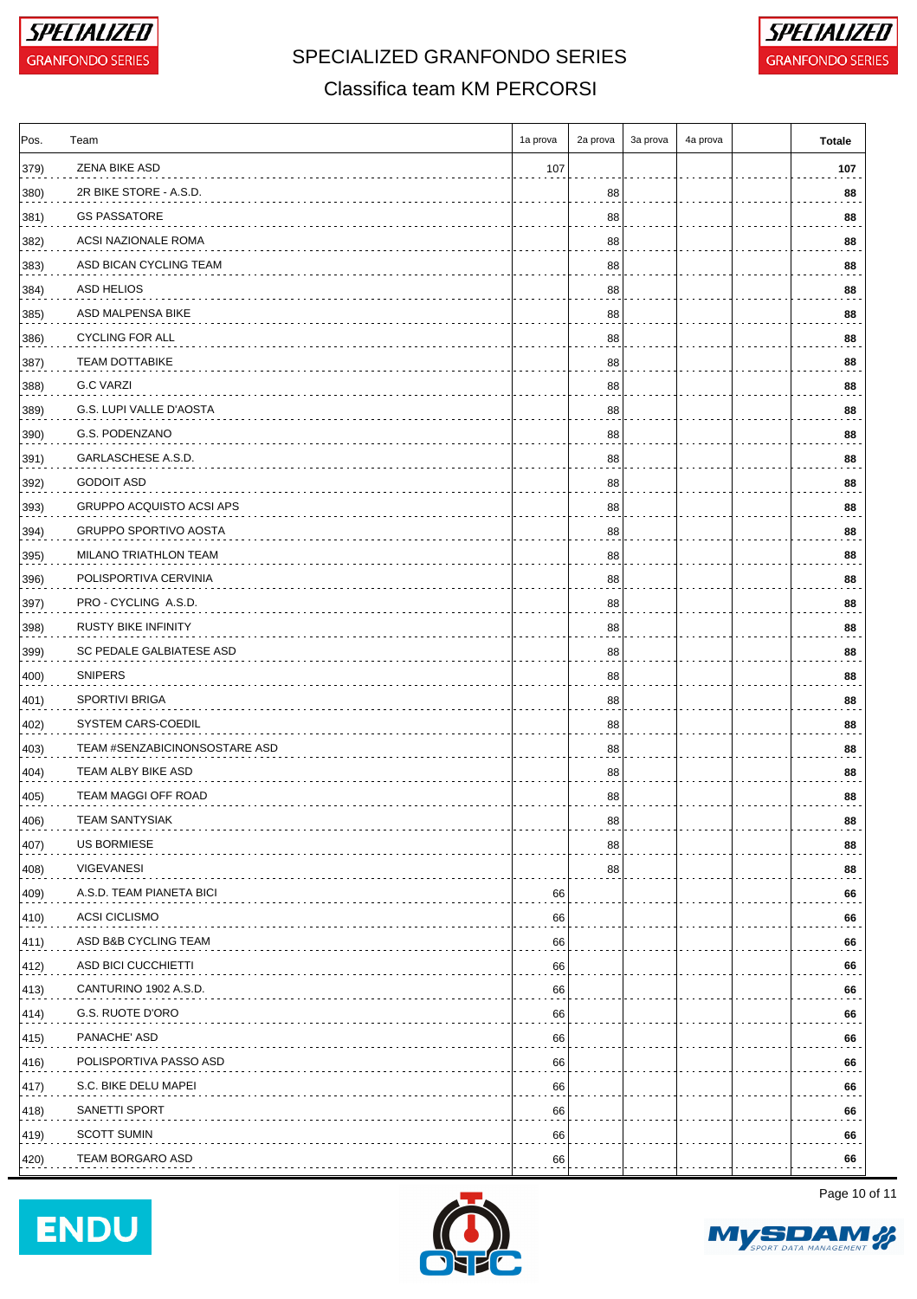

# SPECIALIZED GRANFONDO SERIES **FOR A GRANFONDO SERIES**



### Classifica team KM PERCORSI

| Pos. | Team                            | 1a prova | 2a prova | 3a prova | 4a prova | <b>Totale</b> |
|------|---------------------------------|----------|----------|----------|----------|---------------|
| 379) | ZENA BIKE ASD                   | 107      |          |          |          | 107           |
| 380) | 2R BIKE STORE - A.S.D.          |          | 88       |          |          | 88            |
| 381) | <b>GS PASSATORE</b>             |          | 88       |          |          | 88            |
| 382) | ACSI NAZIONALE ROMA             |          | 88       |          |          | 88            |
| 383) | ASD BICAN CYCLING TEAM          |          | 88       |          |          | 88            |
| 384) | ASD HELIOS                      |          | 88       |          |          | 88            |
| 385) | ASD MALPENSA BIKE               |          | 88       |          |          | 88            |
| 386) | <b>CYCLING FOR ALL</b>          |          | 88       |          |          | 88            |
| 387) | <b>TEAM DOTTABIKE</b>           |          | 88       |          |          | 88            |
| 388) | G.C VARZI                       |          | 88       |          |          | 88            |
| 389) | G.S. LUPI VALLE D'AOSTA         |          | 88       |          |          | 88            |
| 390) | G.S. PODENZANO                  |          | 88       |          |          | 88            |
| 391) | GARLASCHESE A.S.D.              |          | 88       |          |          | 88            |
| 392) | <b>GODOIT ASD</b>               |          | 88       |          |          | 88            |
| 393) | <b>GRUPPO ACQUISTO ACSI APS</b> |          | 88       |          |          | 88            |
| 394) | <b>GRUPPO SPORTIVO AOSTA</b>    |          | 88       |          |          | 88            |
| 395) | MILANO TRIATHLON TEAM           |          | 88       |          |          | 88            |
| 396) | POLISPORTIVA CERVINIA           |          | 88       |          |          | 88            |
| 397) | PRO - CYCLING A.S.D.            |          | 88       |          |          | 88            |
| 398) | <b>RUSTY BIKE INFINITY</b>      |          | 88       |          |          | 88            |
| 399) | SC PEDALE GALBIATESE ASD        |          | 88       |          |          | 88            |
| 400) | <b>SNIPERS</b>                  |          | 88       |          |          | 88            |
| 401) | SPORTIVI BRIGA                  |          | 88       |          |          | 88            |
| 402) | SYSTEM CARS-COEDIL              |          | 88       |          |          | 88            |
| 403) | TEAM #SENZABICINONSOSTARE ASD   |          | 88       |          |          | 88            |
| 404) | TEAM ALBY BIKE ASD              |          | 88       |          |          | 88            |
| 405) | TEAM MAGGI OFF ROAD             |          | 88       |          |          | 88            |
| 406) | <b>TEAM SANTYSIAK</b>           |          | 88       |          |          | 88            |
| 407) | US BORMIESE                     |          | 88       |          |          | 88            |
| 408) | <b>VIGEVANESI</b>               |          | 88       |          |          | 88            |
| 409) | A.S.D. TEAM PIANETA BICI        | 66       |          |          |          | 66            |
| 410) | <b>ACSI CICLISMO</b>            | 66       |          |          |          | 66            |
| 411) | ASD B&B CYCLING TEAM            | 66       |          |          |          | 66            |
| 412) | ASD BICI CUCCHIETTI             | 66       |          |          |          | 66            |
| 413) | CANTURINO 1902 A.S.D.           | 66       |          |          |          | 66            |
| 414) | G.S. RUOTE D'ORO                | 66       |          |          |          | 66            |
| 415) | PANACHE' ASD                    | 66       |          |          |          | 66            |
| 416) | POLISPORTIVA PASSO ASD          | 66       |          |          |          | 66            |
| 417) | S.C. BIKE DELU MAPEI            | 66       |          |          |          | 66            |
| 418) | SANETTI SPORT                   | 66       |          |          |          | 66            |
| 419) | <b>SCOTT SUMIN</b>              | 66       |          |          |          | 66            |
| 420) | TEAM BORGARO ASD                | 66       |          |          |          | 66            |
|      |                                 |          |          |          |          |               |





Page 10 of 11